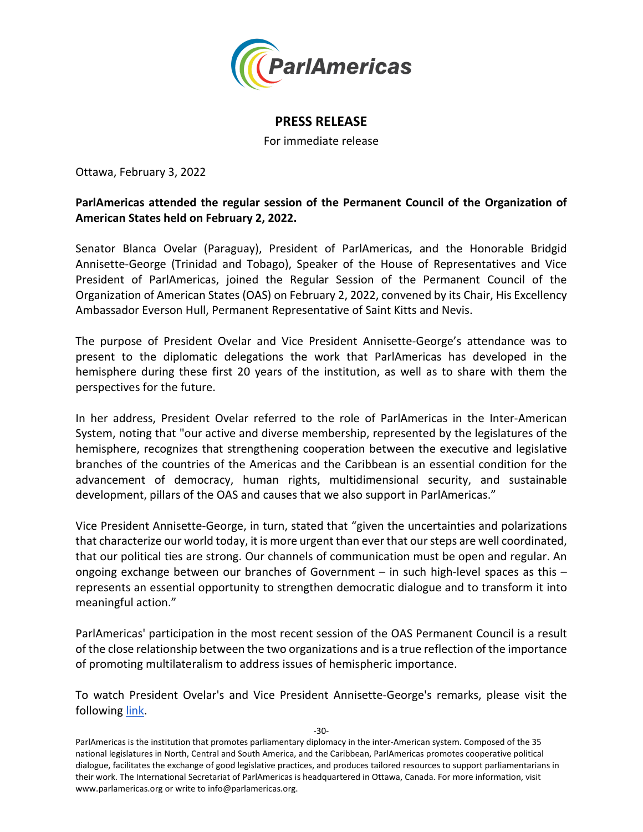

## **PRESS RELEASE**

For immediate release

Ottawa, February 3, 2022

**ParlAmericas attended the regular session of the Permanent Council of the Organization of American States held on February 2, 2022.**

Senator Blanca Ovelar (Paraguay), President of ParlAmericas, and the Honorable Bridgid Annisette-George (Trinidad and Tobago), Speaker of the House of Representatives and Vice President of ParlAmericas, joined the Regular Session of the Permanent Council of the Organization of American States (OAS) on February 2, 2022, convened by its Chair, His Excellency Ambassador Everson Hull, Permanent Representative of Saint Kitts and Nevis.

The purpose of President Ovelar and Vice President Annisette-George's attendance was to present to the diplomatic delegations the work that ParlAmericas has developed in the hemisphere during these first 20 years of the institution, as well as to share with them the perspectives for the future.

In her address, President Ovelar referred to the role of ParlAmericas in the Inter-American System, noting that "our active and diverse membership, represented by the legislatures of the hemisphere, recognizes that strengthening cooperation between the executive and legislative branches of the countries of the Americas and the Caribbean is an essential condition for the advancement of democracy, human rights, multidimensional security, and sustainable development, pillars of the OAS and causes that we also support in ParlAmericas."

Vice President Annisette-George, in turn, stated that "given the uncertainties and polarizations that characterize our world today, it is more urgent than ever that our steps are well coordinated, that our political ties are strong. Our channels of communication must be open and regular. An ongoing exchange between our branches of Government – in such high-level spaces as this – represents an essential opportunity to strengthen democratic dialogue and to transform it into meaningful action."

ParlAmericas' participation in the most recent session of the OAS Permanent Council is a result of the close relationship between the two organizations and is a true reflection of the importance of promoting multilateralism to address issues of hemispheric importance.

To watch President Ovelar's and Vice President Annisette-George's remarks, please visit the following [link.](https://www.youtube.com/watch?v=4CIy6eu8Q5s&t=6215s&ab_channel=OASOEAVideos)

-30-

ParlAmericas is the institution that promotes parliamentary diplomacy in the inter-American system. Composed of the 35 national legislatures in North, Central and South America, and the Caribbean, ParlAmericas promotes cooperative political dialogue, facilitates the exchange of good legislative practices, and produces tailored resources to support parliamentarians in their work. The International Secretariat of ParlAmericas is headquartered in Ottawa, Canada. For more information, visit www.parlamericas.org or write to info@parlamericas.org.